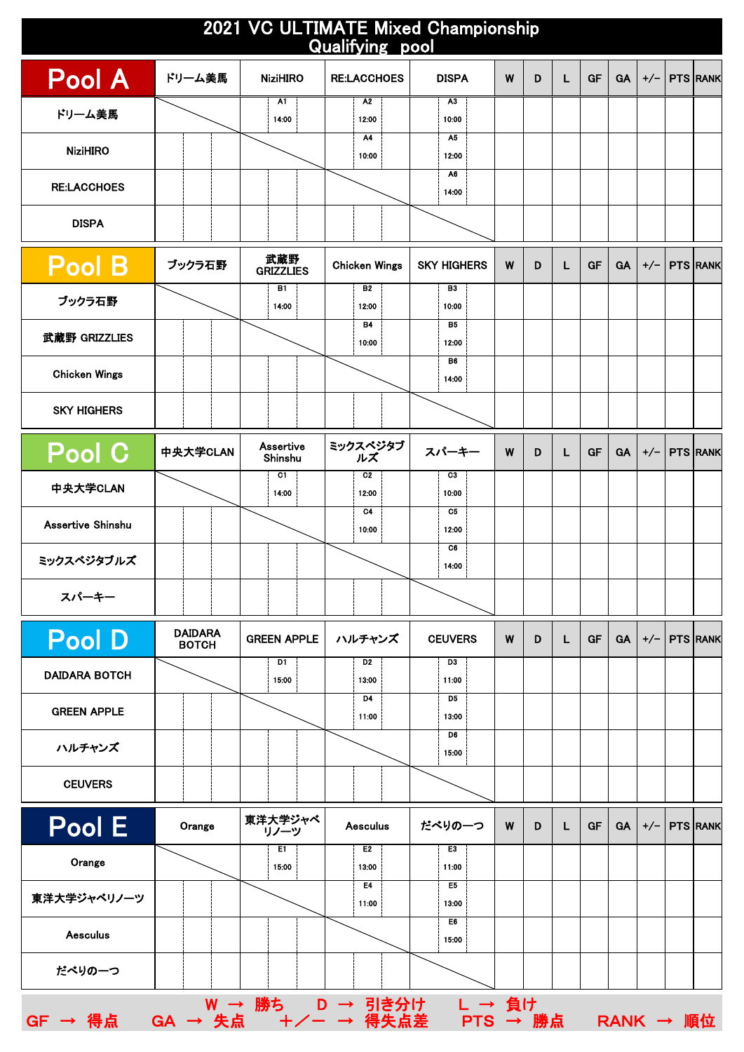| 2021 VC ULTIMATE Mixed Championship<br>Qualifying pool |                                                                                 |                      |                         |                         |   |   |    |    |           |       |                 |                 |
|--------------------------------------------------------|---------------------------------------------------------------------------------|----------------------|-------------------------|-------------------------|---|---|----|----|-----------|-------|-----------------|-----------------|
| <b>Pool A</b>                                          | ドリーム美馬                                                                          | <b>NiziHIRO</b>      | <b>RE:LACCHOES</b>      | <b>DISPA</b>            | W | D | L  | GF | <b>GA</b> | $+/-$ |                 | <b>PTS RANK</b> |
| ドリーム美馬                                                 |                                                                                 | A1<br>14:00          | A <sub>2</sub><br>12:00 | A3<br>10:00             |   |   |    |    |           |       |                 |                 |
| <b>NiziHIRO</b>                                        |                                                                                 |                      | A4<br>10:00             | A5<br>12:00             |   |   |    |    |           |       |                 |                 |
| <b>RE:LACCHOES</b>                                     |                                                                                 |                      |                         | A6                      |   |   |    |    |           |       |                 |                 |
| <b>DISPA</b>                                           |                                                                                 |                      |                         | 14:00                   |   |   |    |    |           |       |                 |                 |
|                                                        |                                                                                 |                      |                         |                         |   |   |    |    |           |       |                 |                 |
| <b>Pool B</b>                                          | ブックラ石野                                                                          | 武蔵野<br>GRIZZLIES     | <b>Chicken Wings</b>    | <b>SKY HIGHERS</b>      | W | D | L. | GF | <b>GA</b> | $+/-$ |                 | <b>PTS RANK</b> |
| ブックラ石野                                                 |                                                                                 | B1<br>14:00          | <b>B2</b><br>12:00      | B3<br>10:00             |   |   |    |    |           |       |                 |                 |
| 武蔵野 GRIZZLIES                                          |                                                                                 |                      | <b>B4</b><br>10:00      | B5<br>12:00             |   |   |    |    |           |       |                 |                 |
| <b>Chicken Wings</b>                                   |                                                                                 |                      |                         | B6<br>14:00             |   |   |    |    |           |       |                 |                 |
| <b>SKY HIGHERS</b>                                     |                                                                                 |                      |                         |                         |   |   |    |    |           |       |                 |                 |
|                                                        |                                                                                 |                      |                         |                         |   |   |    |    |           |       |                 |                 |
| Pool C                                                 | 中央大学CLAN                                                                        | Assertive<br>Shinshu | ミックスベジタブ<br>ルズ          | スパーキー                   | W | D | L  | GF | <b>GA</b> | $+/-$ |                 | <b>PTS RANK</b> |
| 中央大学CLAN                                               |                                                                                 | C1<br>14:00          | C <sub>2</sub><br>12:00 | C3<br>10:00             |   |   |    |    |           |       |                 |                 |
| Assertive Shinshu                                      |                                                                                 |                      | C <sub>4</sub><br>10:00 | C5<br>12:00             |   |   |    |    |           |       |                 |                 |
| ミックスベジタブルズ                                             |                                                                                 |                      |                         | C6<br>14:00             |   |   |    |    |           |       |                 |                 |
| スパーキー                                                  |                                                                                 |                      |                         |                         |   |   |    |    |           |       |                 |                 |
|                                                        |                                                                                 |                      |                         |                         |   |   |    |    |           |       |                 |                 |
| <b>Pool D</b>                                          | <b>DAIDARA</b><br><b>BOTCH</b>                                                  | <b>GREEN APPLE</b>   | ハルチャンズ                  | <b>CEUVERS</b>          | W | D | L  | GF | <b>GA</b> | $+/-$ | <b>PTS RANK</b> |                 |
| <b>DAIDARA BOTCH</b>                                   |                                                                                 | D1<br>15:00          | D <sub>2</sub><br>13:00 | D3<br>11:00             |   |   |    |    |           |       |                 |                 |
| <b>GREEN APPLE</b>                                     |                                                                                 |                      | D4<br>11:00             | D5<br>13:00             |   |   |    |    |           |       |                 |                 |
| ハルチャンズ                                                 |                                                                                 |                      |                         | D6<br>15:00             |   |   |    |    |           |       |                 |                 |
| <b>CEUVERS</b>                                         |                                                                                 |                      |                         |                         |   |   |    |    |           |       |                 |                 |
|                                                        |                                                                                 |                      |                         |                         |   |   |    |    |           |       |                 |                 |
| Pool E                                                 | Orange                                                                          | 東洋大学ジャベ<br>リノーツ      | <b>Aesculus</b>         | だべりの一つ                  | W | D | L. | GF | <b>GA</b> | $+/-$ | <b>PTS RANK</b> |                 |
| Orange                                                 |                                                                                 | E1<br>15:00          | E <sub>2</sub><br>13:00 | E3<br>11:00             |   |   |    |    |           |       |                 |                 |
| 東洋大学ジャベリノーツ                                            |                                                                                 |                      | E4<br>11:00             | E <sub>5</sub><br>13:00 |   |   |    |    |           |       |                 |                 |
| <b>Aesculus</b>                                        |                                                                                 |                      |                         | E6<br>15:00             |   |   |    |    |           |       |                 |                 |
| だべりの一つ                                                 |                                                                                 |                      |                         |                         |   |   |    |    |           |       |                 |                 |
|                                                        |                                                                                 |                      |                         |                         |   |   |    |    |           |       |                 |                 |
| $GF \rightarrow \frac{2}{3}$ 点                         | $W \rightarrow \frac{1}{100}$ カートリート 引き分け レート 負け<br>GA → 失点 +/ー → 得失点差 PTS → 勝点 |                      |                         |                         |   |   |    |    |           |       | RANK → 順位       |                 |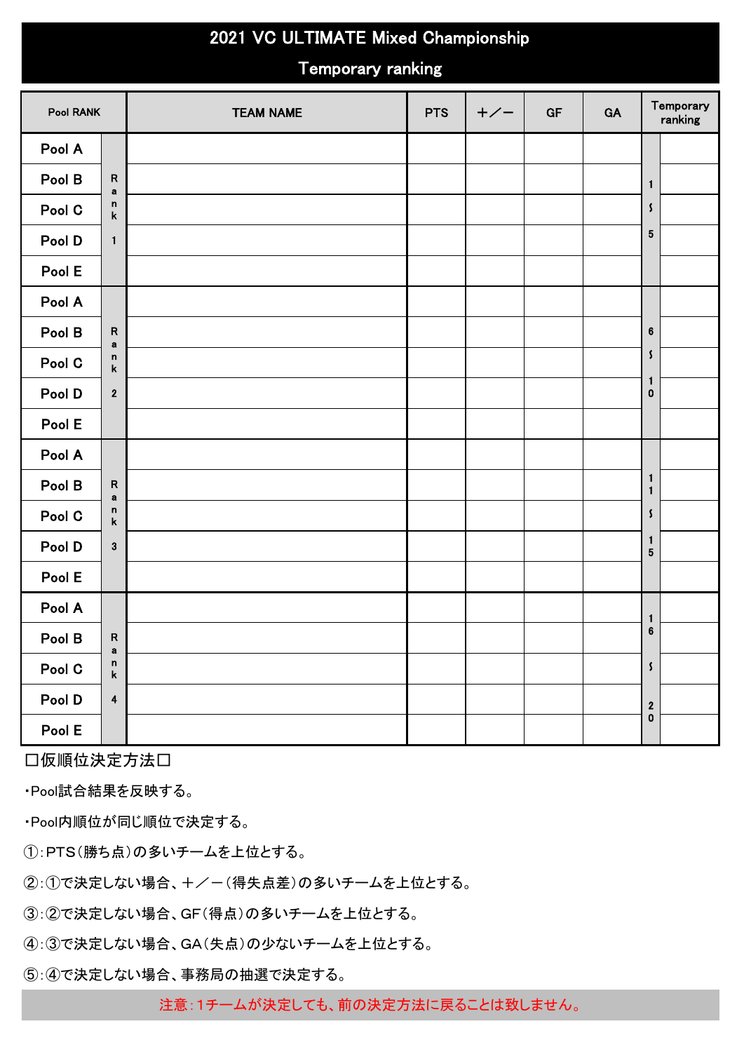## 2021 VC ULTIMATE Mixed Championship

## Temporary ranking

| <b>Pool RANK</b> |                                   | <b>TEAM NAME</b> | <b>PTS</b> | $+/-$ | GF | GA | Temporary<br>ranking                  |
|------------------|-----------------------------------|------------------|------------|-------|----|----|---------------------------------------|
| Pool A           |                                   |                  |            |       |    |    |                                       |
| Pool B           | ${\sf R}$<br>$\mathbf a$          |                  |            |       |    |    | $\mathbf{1}$                          |
| Pool C           | n<br>$\mathsf k$                  |                  |            |       |    |    | $\pmb{\zeta}$                         |
| Pool D           | $\mathbf{1}$                      |                  |            |       |    |    | ${\bf 5}$                             |
| Pool E           |                                   |                  |            |       |    |    |                                       |
| Pool A           |                                   |                  |            |       |    |    |                                       |
| Pool B           | $\mathsf R$<br>a                  |                  |            |       |    |    | $\bf 6$                               |
| Pool C           | $\mathsf n$<br>$\pmb{\mathsf{k}}$ |                  |            |       |    |    | $\pmb{\mathsf{s}}$                    |
| Pool D           | $\boldsymbol{2}$                  |                  |            |       |    |    | $\mathbf{1}$<br>$\pmb{0}$             |
| Pool E           |                                   |                  |            |       |    |    |                                       |
| Pool A           |                                   |                  |            |       |    |    |                                       |
| Pool B           | ${\sf R}$<br>$\mathbf a$          |                  |            |       |    |    | $\mathbf{1}$<br>$\mathbf{1}$          |
| Pool C           | n<br>$\pmb{\mathsf{k}}$           |                  |            |       |    |    | $\pmb{\mathsf{s}}$                    |
| Pool D           | $\mathbf 3$                       |                  |            |       |    |    | $\mathbf{1}$<br>$\sqrt{5}$            |
| Pool E           |                                   |                  |            |       |    |    |                                       |
| Pool A           |                                   |                  |            |       |    |    | $\mathbf{1}$                          |
| Pool B           | ${\sf R}$<br>a                    |                  |            |       |    |    | $\bf 6$                               |
| Pool C           | $\mathsf n$<br>$\pmb{\mathsf{k}}$ |                  |            |       |    |    | $\pmb{\zeta}$                         |
| Pool D           | $\overline{\mathbf{4}}$           |                  |            |       |    |    | $\begin{array}{c} 2 \\ 0 \end{array}$ |
| Pool E           |                                   |                  |            |       |    |    |                                       |

□仮順位決定方法□

・Pool試合結果を反映する。

・Pool内順位が同じ順位で決定する。

①:PTS(勝ち点)の多いチームを上位とする。

②:①で決定しない場合、+/-(得失点差)の多いチームを上位とする。

③:②で決定しない場合、GF(得点)の多いチームを上位とする。

④:③で決定しない場合、GA(失点)の少ないチームを上位とする。

⑤:④で決定しない場合、事務局の抽選で決定する。

注意:1チームが決定しても、前の決定方法に戻ることは致しません。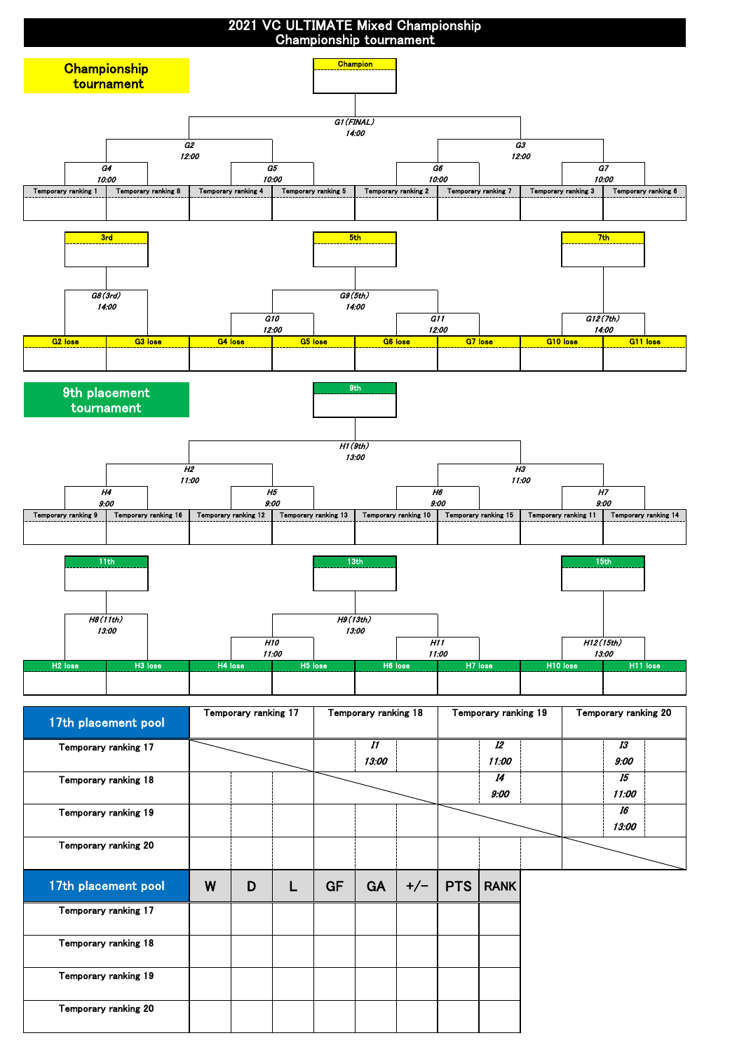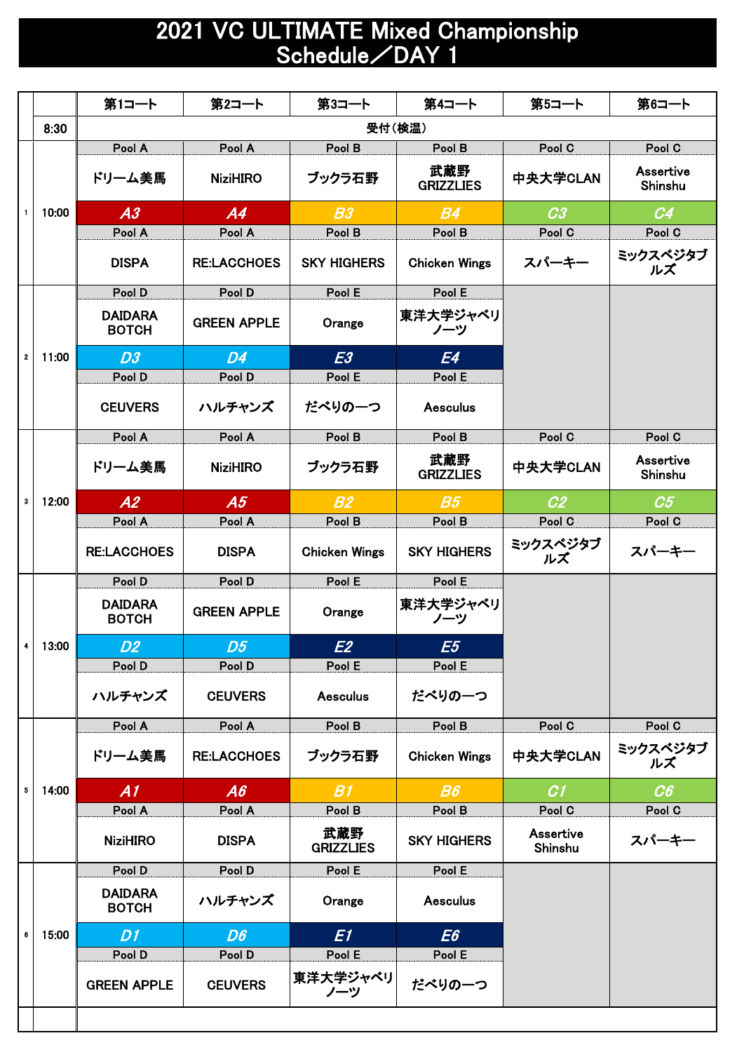## 2021 VC ULTIMATE Mixed Championship Schedule/DAY 1

|                |       | 第1コート                          | 第2コート              | 第3コート                   | 第4コート                   | 第5コート                | 第6コート                |
|----------------|-------|--------------------------------|--------------------|-------------------------|-------------------------|----------------------|----------------------|
|                | 8:30  |                                |                    |                         |                         |                      |                      |
|                |       | Pool A                         | Pool A             | Pool B                  | Pool B                  | Pool C               | Pool C               |
|                |       | ドリーム美馬                         | <b>NiziHIRO</b>    | ブックラ石野                  | 武蔵野<br><b>GRIZZLIES</b> | 中央大学CLAN             | Assertive<br>Shinshu |
|                | 10:00 | A3                             | A4                 | B3                      | B <sub>4</sub>          | C <sub>3</sub>       | C <sub>4</sub>       |
|                |       | Pool A                         | Pool A             | Pool B                  | Pool B                  | Pool C               | Pool C               |
|                |       | <b>DISPA</b>                   | <b>RE:LACCHOES</b> | <b>SKY HIGHERS</b>      | <b>Chicken Wings</b>    | スパーキー                | ミックスベジタブ<br>ルズ       |
|                |       | Pool D                         | Pool D             | Pool E                  | Pool E                  |                      |                      |
|                |       | <b>DAIDARA</b><br><b>BOTCH</b> | <b>GREEN APPLE</b> | Orange                  | 東洋大学ジャベリ<br>ノーツ         |                      |                      |
| $\mathbf{2}$   | 11:00 | D3                             | D4                 | E3                      | E4                      |                      |                      |
|                |       | Pool D                         | Pool D             | Pool E                  | Pool E                  |                      |                      |
|                |       | <b>CEUVERS</b>                 | ハルチャンズ             | だべりの一つ                  | <b>Aesculus</b>         |                      |                      |
|                |       | Pool A                         | Pool A             | Pool B                  | Pool B                  | Pool C               | Pool C               |
|                |       | ドリーム美馬                         | <b>NiziHIRO</b>    | ブックラ石野                  | 武蔵野<br><b>GRIZZLIES</b> | 中央大学CLAN             | Assertive<br>Shinshu |
| 3              | 12:00 | A2                             | A5                 | B2                      | B <sub>5</sub>          | C <sub>2</sub>       | C5                   |
|                |       | Pool A                         | Pool A             | Pool B                  | Pool B                  | Pool C               | Pool C               |
|                |       | <b>RE:LACCHOES</b>             | <b>DISPA</b>       | <b>Chicken Wings</b>    | <b>SKY HIGHERS</b>      | ミックスベジタブ<br>ルズ       | スパーキー                |
|                | 13:00 | Pool D                         | Pool D             | Pool E                  | Pool E                  |                      |                      |
|                |       | <b>DAIDARA</b><br><b>BOTCH</b> | <b>GREEN APPLE</b> | Orange                  | 東洋大学ジャベリ<br>ノーツ         |                      |                      |
| 4 <sup>1</sup> |       | D <sub>2</sub>                 | D5                 | E2                      | E5                      |                      |                      |
|                |       | Pool D                         | Pool D             | Pool E                  | Pool E                  |                      |                      |
|                |       | ハルチャンズ                         | <b>CEUVERS</b>     | <b>Aesculus</b>         | だべりの一つ                  |                      |                      |
|                |       | Pool A                         | Pool A             | Pool B                  | Pool B                  | Pool C               | Pool C               |
|                | 14:00 | ドリーム美馬                         | <b>RE:LACCHOES</b> | ブックラ石野                  | <b>Chicken Wings</b>    | 中央大学CLAN             | ミックスベジタブ<br>ルズ       |
| 5              |       | A1                             | A6                 | B1                      | B6                      | C <sub>1</sub>       | C6                   |
|                |       | Pool A                         | Pool A             | Pool B                  | Pool B                  | Pool C               | Pool C               |
|                |       | <b>NiziHIRO</b>                | <b>DISPA</b>       | 武蔵野<br><b>GRIZZLIES</b> | <b>SKY HIGHERS</b>      | Assertive<br>Shinshu | スパーキー                |
|                |       | Pool D                         | Pool D             | Pool E                  | Pool E                  |                      |                      |
|                | 15:00 | <b>DAIDARA</b><br><b>BOTCH</b> | ハルチャンズ             | Orange                  | <b>Aesculus</b>         |                      |                      |
| 6              |       | D1                             | D6                 | E1                      | E6                      |                      |                      |
|                |       | Pool D                         | Pool D             | Pool E                  | Pool E                  |                      |                      |
|                |       | <b>GREEN APPLE</b>             | <b>CEUVERS</b>     | 東洋大学ジャベリ<br>ノーツ         | だべりの一つ                  |                      |                      |
|                |       |                                |                    |                         |                         |                      |                      |